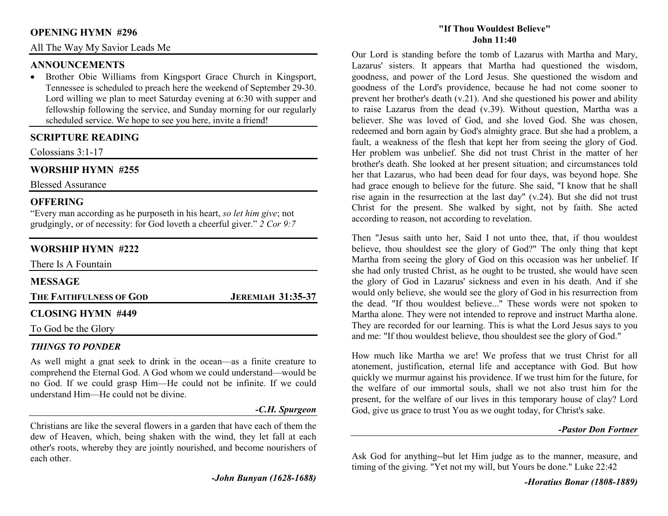#### **OPENING HYMN #296**

All The Way My Savior Leads Me

### **ANNOUNCEMENTS**

 • Brother Obie Williams from Kingsport Grace Church in Kingsport, Tennessee is scheduled to preach here the weekend of September 29-30. Lord willing we plan to meet Saturday evening at 6:30 with supper and fellowship following the service, and Sunday morning for our regularly scheduled service. We hope to see you here, invite a friend!

## **SCRIPTURE READING**

Colossians 3:1-17

# **WORSHIP HYMN #255**

Blessed Assurance

## **OFFERING**

 "Every man according as he purposeth in his heart, *so let him give*; not grudgingly, or of necessity: for God loveth a cheerful giver." *2 Cor 9:7*

# **WORSHIP HYMN #222**

| <b>JEREMIAH 31:35-37</b> |  |
|--------------------------|--|
|                          |  |

## *THINGS TO PONDER*

 As well might a gnat seek to drink in the ocean—as a finite creature to comprehend the Eternal God. A God whom we could understand—would be no God. If we could grasp Him—He could not be infinite. If we could understand Him—He could not be divine.

#### *-C.H. Spurgeon*

Christians are like the several flowers in a garden that have each of them the dew of Heaven, which, being shaken with the wind, they let fall at each other's roots, whereby they are jointly nourished, and become nourishers of each other.

*-John Bunyan (1628-1688)* 

#### **"If Thou Wouldest Believe"John 11:40**

Our Lord is standing before the tomb of Lazarus with Martha and Mary, Lazarus' sisters. It appears that Martha had questioned the wisdom, goodness, and power of the Lord Jesus. She questioned the wisdom and goodness of the Lord's providence, because he had not come sooner to prevent her brother's death (v.21). And she questioned his power and ability to raise Lazarus from the dead (v.39). Without question, Martha was a believer. She was loved of God, and she loved God. She was chosen, redeemed and born again by God's almighty grace. But she had a problem, a fault, a weakness of the flesh that kept her from seeing the glory of God. Her problem was unbelief. She did not trust Christ in the matter of her brother's death. She looked at her present situation; and circumstances told her that Lazarus, who had been dead for four days, was beyond hope. She had grace enough to believe for the future. She said, "I know that he shall rise again in the resurrection at the last day" (v.24). But she did not trust Christ for the present. She walked by sight, not by faith. She acted according to reason, not according to revelation.

Then "Jesus saith unto her, Said I not unto thee, that, if thou wouldest believe, thou shouldest see the glory of God?" The only thing that kept Martha from seeing the glory of God on this occasion was her unbelief. If she had only trusted Christ, as he ought to be trusted, she would have seen the glory of God in Lazarus' sickness and even in his death. And if she would only believe, she would see the glory of God in his resurrection from the dead. "If thou wouldest believe..." These words were not spoken to Martha alone. They were not intended to reprove and instruct Martha alone. They are recorded for our learning. This is what the Lord Jesus says to you and me: "If thou wouldest believe, thou shouldest see the glory of God."

How much like Martha we are! We profess that we trust Christ for all atonement, justification, eternal life and acceptance with God. But how quickly we murmur against his providence. If we trust him for the future, for the welfare of our immortal souls, shall we not also trust him for the present, for the welfare of our lives in this temporary house of clay? Lord God, give us grace to trust You as we ought today, for Christ's sake.

#### *-Pastor Don Fortner*

Ask God for anything--but let Him judge as to the manner, measure, and timing of the giving. "Yet not my will, but Yours be done." Luke 22:42

*-Horatius Bonar (1808-1889)*